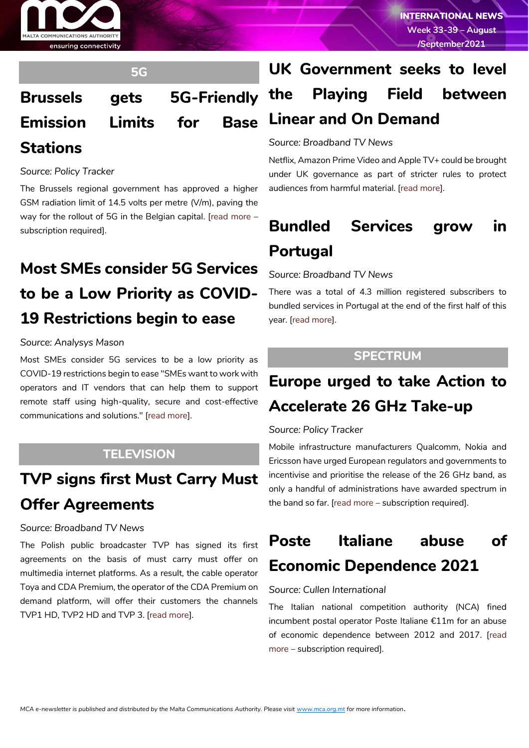

#### **5G**

## **Brussels gets 5G-Friendly Emission Limits for Base Stations**

*Source: Policy Tracker*

The Brussels regional government has approved a higher GSM radiation limit of 14.5 volts per metre (V/m), paving the way for the rollout of 5G in the Belgian capital. [\[read more](https://www.policytracker.com/brussels-gets-5g-friendly-emission-limits-for-base-stations/) – subscription required].

## **Most SMEs consider 5G Services to be a Low Priority as COVID-19 Restrictions begin to ease**

#### *Source: Analysys Mason*

Most SMEs consider 5G services to be a low priority as COVID-19 restrictions begin to ease "SMEs want to work with operators and IT vendors that can help them to support remote staff using high-quality, secure and cost-effective communications and solutions." [\[read more\]](https://www.analysysmason.com/research/content/articles/smes-differentiating-mobile-services-rdmz0/).

### **TELEVISION**

## **TVP signs first Must Carry Must Offer Agreements**

#### *Source: Broadband TV News*

The Polish public broadcaster TVP has signed its first agreements on the basis of must carry must offer on multimedia internet platforms. As a result, the cable operator Toya and CDA Premium, the operator of the CDA Premium on demand platform, will offer their customers the channels TVP1 HD, TVP2 HD and TVP 3. [\[read more\]](https://www.broadbandtvnews.com/2021/08/10/tvp-signs-first-must-carry-must-offer-agreements/).

## **UK Government seeks to level the Playing Field between Linear and On Demand**

#### *Source: Broadband TV News*

Netflix, Amazon Prime Video and Apple TV+ could be brought under UK governance as part of stricter rules to protect audiences from harmful material. [\[read more\]](https://www.broadbandtvnews.com/2021/09/01/uk-government-seeks-to-level-the-playing-field-between-linear-and-on-demand/).

## **Bundled Services grow in Portugal**

#### *Source: Broadband TV News*

There was a total of 4.3 million registered subscribers to bundled services in Portugal at the end of the first half of this year. [\[read more\]](https://www.broadbandtvnews.com/2021/09/10/bundled-services-grow-in-portugal/).

#### **SPECTRUM**

## **Europe urged to take Action to Accelerate 26 GHz Take-up**

#### *Source: Policy Tracker*

Mobile infrastructure manufacturers Qualcomm, Nokia and Ericsson have urged European regulators and governments to incentivise and prioritise the release of the 26 GHz band, as only a handful of administrations have awarded spectrum in the band so far. [\[read more](https://www.policytracker.com/europe-urged-to-take-action-to-accelerate-26-ghz-take-up/) – subscription required].

## **Poste Italiane abuse of Economic Dependence 2021**

#### *Source: Cullen International*

The Italian national competition authority (NCA) fined incumbent postal operator Poste Italiane €11m for an abuse of economic dependence between 2012 and 2017. [\[read](https://www.cullen-international.com/client/site/documents/CLCLIT20210009)  [more](https://www.cullen-international.com/client/site/documents/CLCLIT20210009) – subscription required].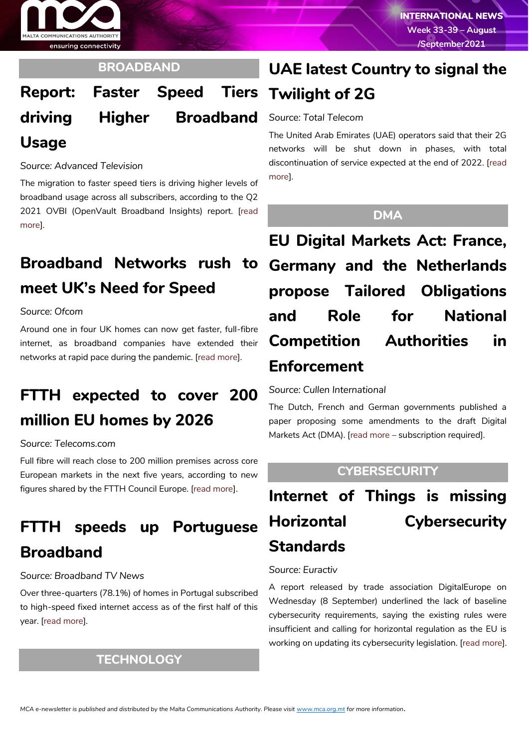

#### **BROADBAND**

## **Report: Faster Speed Tiers Twilight of 2G driving Higher Broadband**

## **Usage**

*Source: Advanced Television*

The migration to faster speed tiers is driving higher levels of broadband usage across all subscribers, according to the Q2 2021 OVBI (OpenVault Broadband Insights) report. [\[read](https://advanced-television.com/2021/08/17/report-faster-speed-tiers-driving-higher-broadband-usage/)  [more\]](https://advanced-television.com/2021/08/17/report-faster-speed-tiers-driving-higher-broadband-usage/).

## **Broadband Networks rush to meet UK's Need for Speed**

#### *Source: Ofcom*

Around one in four UK homes can now get faster, full-fibre internet, as broadband companies have extended their networks at rapid pace during the pandemic. [\[read more\]](https://www.ofcom.org.uk/about-ofcom/latest/features-and-news/broadband-networks-rush-to-meet-uks-need-for-speed).

## **FTTH expected to cover 200 million EU homes by 2026**

#### *Source: Telecoms.com*

Full fibre will reach close to 200 million premises across core European markets in the next five years, according to new figures shared by the FTTH Council Europe. [\[read more\]](https://telecoms.com/511382/ftth-expected-to-cover-200-million-eu-homes-by-2026/).

## **FTTH speeds up Portuguese Broadband**

#### *Source: Broadband TV News*

Over three-quarters (78.1%) of homes in Portugal subscribed to high-speed fixed internet access as of the first half of this year. [\[read more\]](https://www.broadbandtvnews.com/2021/09/15/ftth-speeds-up-portuguese-broadband/).

#### **TECHNOLOGY**

# **UAE latest Country to signal the**

#### *Source: Total Telecom*

The United Arab Emirates (UAE) operators said that their 2G networks will be shut down in phases, with total discontinuation of service expected at the end of 2022. [\[read](https://www.totaltele.com/510716/UAE-latest-country-to-signal-the-twilight-of-2G)  [more\]](https://www.totaltele.com/510716/UAE-latest-country-to-signal-the-twilight-of-2G).

#### **DMA**

**EU Digital Markets Act: France, Germany and the Netherlands propose Tailored Obligations and Role for National Competition Authorities in Enforcement**

#### *Source: Cullen International*

The Dutch, French and German governments published a paper proposing some amendments to the draft Digital Markets Act (DMA). [\[read more](https://www.cullen-international.com/client/site/documents/FLECEP20210101) – subscription required].

#### **CYBERSECURITY**

## **Internet of Things is missing Horizontal Cybersecurity Standards**

#### *Source: Euractiv*

A report released by trade association DigitalEurope on Wednesday (8 September) underlined the lack of baseline cybersecurity requirements, saying the existing rules were insufficient and calling for horizontal regulation as the EU is working on updating its cybersecurity legislation. [\[read more\]](https://www.euractiv.com/section/cybersecurity/news/internet-of-things-is-missing-horizontal-cybersecurity-standards/).